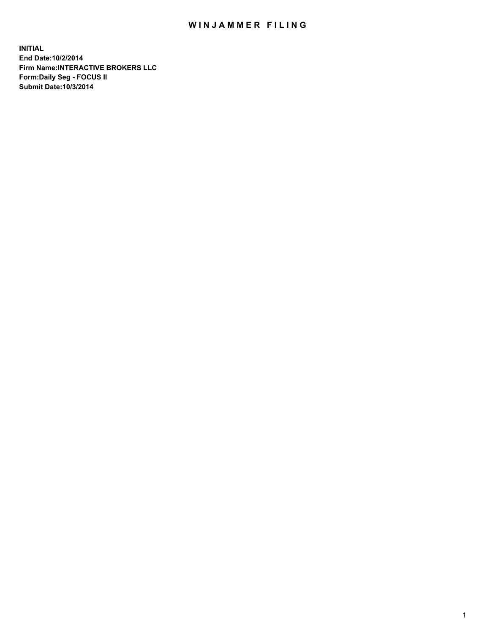## WIN JAMMER FILING

**INITIAL End Date:10/2/2014 Firm Name:INTERACTIVE BROKERS LLC Form:Daily Seg - FOCUS II Submit Date:10/3/2014**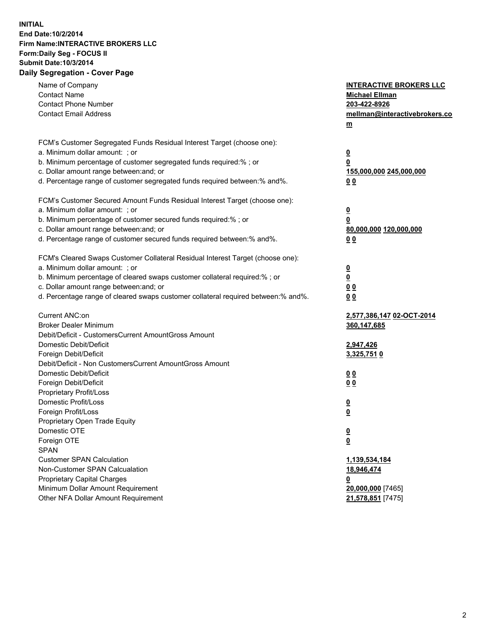## **INITIAL End Date:10/2/2014 Firm Name:INTERACTIVE BROKERS LLC Form:Daily Seg - FOCUS II Submit Date:10/3/2014 Daily Segregation - Cover Page**

| Name of Company<br><b>Contact Name</b><br><b>Contact Phone Number</b><br><b>Contact Email Address</b>    | <b>INTERACTIVE BROKERS LLC</b><br><b>Michael Ellman</b><br>203-422-8926<br>mellman@interactivebrokers.co<br>$m$ |
|----------------------------------------------------------------------------------------------------------|-----------------------------------------------------------------------------------------------------------------|
| FCM's Customer Segregated Funds Residual Interest Target (choose one):<br>a. Minimum dollar amount: ; or | $\overline{\mathbf{0}}$                                                                                         |
| b. Minimum percentage of customer segregated funds required:% ; or                                       | 0                                                                                                               |
| c. Dollar amount range between: and; or                                                                  | 155,000,000 245,000,000                                                                                         |
| d. Percentage range of customer segregated funds required between:% and%.                                | 0 <sub>0</sub>                                                                                                  |
| FCM's Customer Secured Amount Funds Residual Interest Target (choose one):                               |                                                                                                                 |
| a. Minimum dollar amount: ; or                                                                           | $\overline{\mathbf{0}}$                                                                                         |
| b. Minimum percentage of customer secured funds required:% ; or                                          | 0                                                                                                               |
| c. Dollar amount range between: and; or                                                                  | 80,000,000 120,000,000                                                                                          |
| d. Percentage range of customer secured funds required between:% and%.                                   | 0 <sub>0</sub>                                                                                                  |
| FCM's Cleared Swaps Customer Collateral Residual Interest Target (choose one):                           |                                                                                                                 |
| a. Minimum dollar amount: ; or                                                                           | $\overline{\mathbf{0}}$                                                                                         |
| b. Minimum percentage of cleared swaps customer collateral required:% ; or                               | $\overline{\mathbf{0}}$                                                                                         |
| c. Dollar amount range between: and; or                                                                  | 0 <sub>0</sub>                                                                                                  |
| d. Percentage range of cleared swaps customer collateral required between:% and%.                        | 0 <sub>0</sub>                                                                                                  |
| Current ANC:on                                                                                           | 2,577,386,147 02-OCT-2014                                                                                       |
| <b>Broker Dealer Minimum</b>                                                                             | 360,147,685                                                                                                     |
| Debit/Deficit - CustomersCurrent AmountGross Amount                                                      |                                                                                                                 |
| Domestic Debit/Deficit                                                                                   | 2,947,426                                                                                                       |
| Foreign Debit/Deficit                                                                                    | 3,325,751 0                                                                                                     |
| Debit/Deficit - Non CustomersCurrent AmountGross Amount                                                  |                                                                                                                 |
| Domestic Debit/Deficit                                                                                   | 0 <sub>0</sub>                                                                                                  |
| Foreign Debit/Deficit                                                                                    | 0 <sub>0</sub>                                                                                                  |
| Proprietary Profit/Loss                                                                                  |                                                                                                                 |
| Domestic Profit/Loss<br>Foreign Profit/Loss                                                              | $\overline{\mathbf{0}}$                                                                                         |
| Proprietary Open Trade Equity                                                                            | $\underline{\mathbf{0}}$                                                                                        |
| Domestic OTE                                                                                             | <u>0</u>                                                                                                        |
| Foreign OTE                                                                                              |                                                                                                                 |
| <b>SPAN</b>                                                                                              | <u>0</u>                                                                                                        |
| <b>Customer SPAN Calculation</b>                                                                         | 1,139,534,184                                                                                                   |
| Non-Customer SPAN Calcualation                                                                           | 18,946,474                                                                                                      |
| Proprietary Capital Charges                                                                              | <u>0</u>                                                                                                        |
| Minimum Dollar Amount Requirement                                                                        | 20,000,000 [7465]                                                                                               |
| Other NFA Dollar Amount Requirement                                                                      | 21,578,851 [7475]                                                                                               |
|                                                                                                          |                                                                                                                 |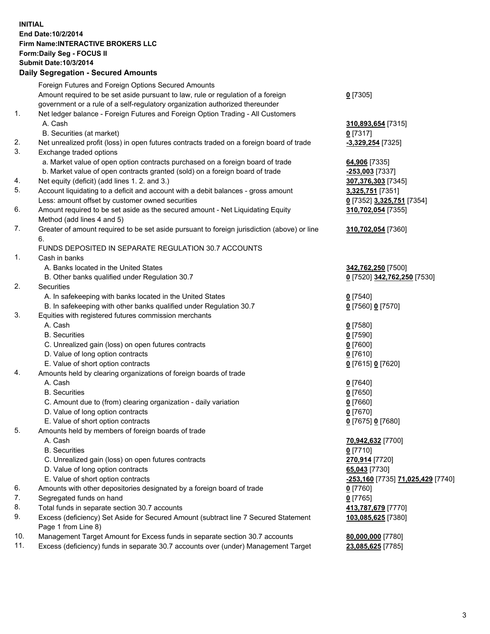## **INITIAL End Date:10/2/2014 Firm Name:INTERACTIVE BROKERS LLC Form:Daily Seg - FOCUS II Submit Date:10/3/2014 Daily Segregation - Secured Amounts**

|                | Daily Jegregation - Jeculed Aniounts                                                                       |                                   |
|----------------|------------------------------------------------------------------------------------------------------------|-----------------------------------|
|                | Foreign Futures and Foreign Options Secured Amounts                                                        |                                   |
|                | Amount required to be set aside pursuant to law, rule or regulation of a foreign                           | $0$ [7305]                        |
|                | government or a rule of a self-regulatory organization authorized thereunder                               |                                   |
| 1.             | Net ledger balance - Foreign Futures and Foreign Option Trading - All Customers                            |                                   |
|                | A. Cash                                                                                                    | 310,893,654 [7315]                |
|                | B. Securities (at market)                                                                                  | 0 [7317]                          |
| 2.             | Net unrealized profit (loss) in open futures contracts traded on a foreign board of trade                  | -3,329,254 [7325]                 |
| 3.             | Exchange traded options                                                                                    |                                   |
|                | a. Market value of open option contracts purchased on a foreign board of trade                             | 64,906 [7335]                     |
|                | b. Market value of open contracts granted (sold) on a foreign board of trade                               | -253,003 [7337]                   |
| 4.             | Net equity (deficit) (add lines 1. 2. and 3.)                                                              | 307,376,303 [7345]                |
| 5.             | Account liquidating to a deficit and account with a debit balances - gross amount                          | 3,325,751 [7351]                  |
|                | Less: amount offset by customer owned securities                                                           | 0 [7352] 3,325,751 [7354]         |
| 6.             | Amount required to be set aside as the secured amount - Net Liquidating Equity                             | 310,702,054 [7355]                |
|                | Method (add lines 4 and 5)                                                                                 |                                   |
| 7.             | Greater of amount required to be set aside pursuant to foreign jurisdiction (above) or line                | 310,702,054 [7360]                |
|                | 6.                                                                                                         |                                   |
|                | FUNDS DEPOSITED IN SEPARATE REGULATION 30.7 ACCOUNTS                                                       |                                   |
| $\mathbf{1}$ . | Cash in banks                                                                                              |                                   |
|                | A. Banks located in the United States                                                                      | 342,762,250 [7500]                |
|                | B. Other banks qualified under Regulation 30.7                                                             | 0 [7520] 342,762,250 [7530]       |
| 2.             | Securities                                                                                                 |                                   |
|                | A. In safekeeping with banks located in the United States                                                  | $0$ [7540]                        |
|                | B. In safekeeping with other banks qualified under Regulation 30.7                                         | 0 [7560] 0 [7570]                 |
| 3.             | Equities with registered futures commission merchants                                                      |                                   |
|                | A. Cash                                                                                                    | $0$ [7580]                        |
|                | <b>B.</b> Securities                                                                                       | $0$ [7590]                        |
|                | C. Unrealized gain (loss) on open futures contracts                                                        | $0$ [7600]                        |
|                | D. Value of long option contracts                                                                          | $0$ [7610]                        |
|                | E. Value of short option contracts                                                                         | 0 [7615] 0 [7620]                 |
| 4.             | Amounts held by clearing organizations of foreign boards of trade                                          |                                   |
|                | A. Cash                                                                                                    | $0$ [7640]                        |
|                | <b>B.</b> Securities                                                                                       | $0$ [7650]                        |
|                | C. Amount due to (from) clearing organization - daily variation                                            | $0$ [7660]                        |
|                | D. Value of long option contracts                                                                          | $0$ [7670]                        |
|                | E. Value of short option contracts                                                                         | 0 [7675] 0 [7680]                 |
| 5.             | Amounts held by members of foreign boards of trade                                                         |                                   |
|                | A. Cash                                                                                                    | 70,942,632 [7700]                 |
|                | <b>B.</b> Securities                                                                                       | $0$ [7710]                        |
|                | C. Unrealized gain (loss) on open futures contracts                                                        | 270,914 [7720]                    |
|                | D. Value of long option contracts                                                                          | 65,043 [7730]                     |
|                | E. Value of short option contracts                                                                         | -253,160 [7735] 71,025,429 [7740] |
| 6.             | Amounts with other depositories designated by a foreign board of trade                                     | 0 [7760]                          |
| 7.             | Segregated funds on hand                                                                                   | $0$ [7765]                        |
| 8.             | Total funds in separate section 30.7 accounts                                                              | 413,787,679 [7770]                |
| 9.             | Excess (deficiency) Set Aside for Secured Amount (subtract line 7 Secured Statement<br>Page 1 from Line 8) | 103,085,625 [7380]                |
| 10.            | Management Target Amount for Excess funds in separate section 30.7 accounts                                | 80,000,000 [7780]                 |
| 11.            | Excess (deficiency) funds in separate 30.7 accounts over (under) Management Target                         |                                   |
|                |                                                                                                            | 23,085,625 [7785]                 |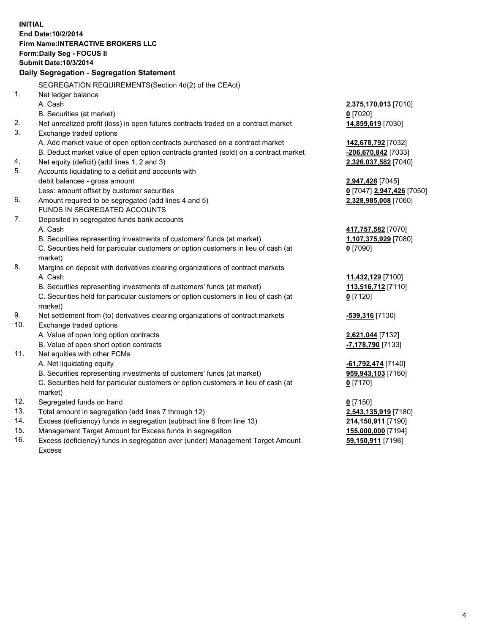**INITIAL End Date:10/2/2014 Firm Name:INTERACTIVE BROKERS LLC Form:Daily Seg - FOCUS II Submit Date:10/3/2014 Daily Segregation - Segregation Statement** SEGREGATION REQUIREMENTS(Section 4d(2) of the CEAct) 1. Net ledger balance A. Cash **2,375,170,013** [7010] B. Securities (at market) **0** [7020] 2. Net unrealized profit (loss) in open futures contracts traded on a contract market **14,859,619** [7030] 3. Exchange traded options A. Add market value of open option contracts purchased on a contract market **142,678,792** [7032] B. Deduct market value of open option contracts granted (sold) on a contract market **-206,670,842** [7033] 4. Net equity (deficit) (add lines 1, 2 and 3) **2,326,037,582** [7040] 5. Accounts liquidating to a deficit and accounts with debit balances - gross amount **2,947,426** [7045] Less: amount offset by customer securities **0** [7047] **2,947,426** [7050] 6. Amount required to be segregated (add lines 4 and 5) **2,328,985,008** [7060] FUNDS IN SEGREGATED ACCOUNTS 7. Deposited in segregated funds bank accounts A. Cash **417,757,582** [7070] B. Securities representing investments of customers' funds (at market) **1,107,375,929** [7080] C. Securities held for particular customers or option customers in lieu of cash (at market) **0** [7090] 8. Margins on deposit with derivatives clearing organizations of contract markets A. Cash **11,432,129** [7100] B. Securities representing investments of customers' funds (at market) **113,516,712** [7110] C. Securities held for particular customers or option customers in lieu of cash (at market) **0** [7120] 9. Net settlement from (to) derivatives clearing organizations of contract markets **-539,316** [7130] 10. Exchange traded options A. Value of open long option contracts **2,621,044** [7132] B. Value of open short option contracts **-7,178,790** [7133] 11. Net equities with other FCMs A. Net liquidating equity **-61,792,474** [7140] B. Securities representing investments of customers' funds (at market) **959,943,103** [7160] C. Securities held for particular customers or option customers in lieu of cash (at market) **0** [7170] 12. Segregated funds on hand **0** [7150] 13. Total amount in segregation (add lines 7 through 12) **2,543,135,919** [7180] 14. Excess (deficiency) funds in segregation (subtract line 6 from line 13) **214,150,911** [7190] 15. Management Target Amount for Excess funds in segregation **155,000,000** [7194]

16. Excess (deficiency) funds in segregation over (under) Management Target Amount Excess

**59,150,911** [7198]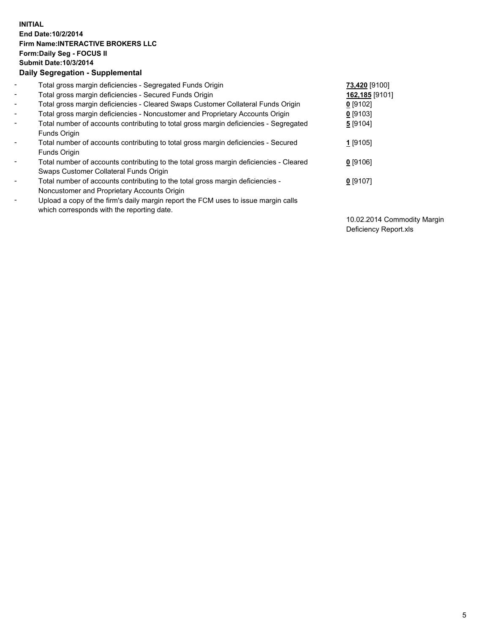## **INITIAL End Date:10/2/2014 Firm Name:INTERACTIVE BROKERS LLC Form:Daily Seg - FOCUS II Submit Date:10/3/2014 Daily Segregation - Supplemental**

| $\blacksquare$           | Total gross margin deficiencies - Segregated Funds Origin                                                                        | 73,420 [9100]  |
|--------------------------|----------------------------------------------------------------------------------------------------------------------------------|----------------|
| $\blacksquare$           | Total gross margin deficiencies - Secured Funds Origin                                                                           | 162,185 [9101] |
| $\blacksquare$           | Total gross margin deficiencies - Cleared Swaps Customer Collateral Funds Origin                                                 | $0$ [9102]     |
| $\blacksquare$           | Total gross margin deficiencies - Noncustomer and Proprietary Accounts Origin                                                    | $0$ [9103]     |
| $\blacksquare$           | Total number of accounts contributing to total gross margin deficiencies - Segregated<br>Funds Origin                            | 5 [9104]       |
| $\blacksquare$           | Total number of accounts contributing to total gross margin deficiencies - Secured<br><b>Funds Origin</b>                        | 1 [9105]       |
| $\overline{\phantom{a}}$ | Total number of accounts contributing to the total gross margin deficiencies - Cleared<br>Swaps Customer Collateral Funds Origin | $0$ [9106]     |
| -                        | Total number of accounts contributing to the total gross margin deficiencies -<br>Noncustomer and Proprietary Accounts Origin    | $0$ [9107]     |
| $\blacksquare$           | Upload a copy of the firm's daily margin report the FCM uses to issue margin calls<br>which corresponds with the reporting date. |                |

10.02.2014 Commodity Margin Deficiency Report.xls